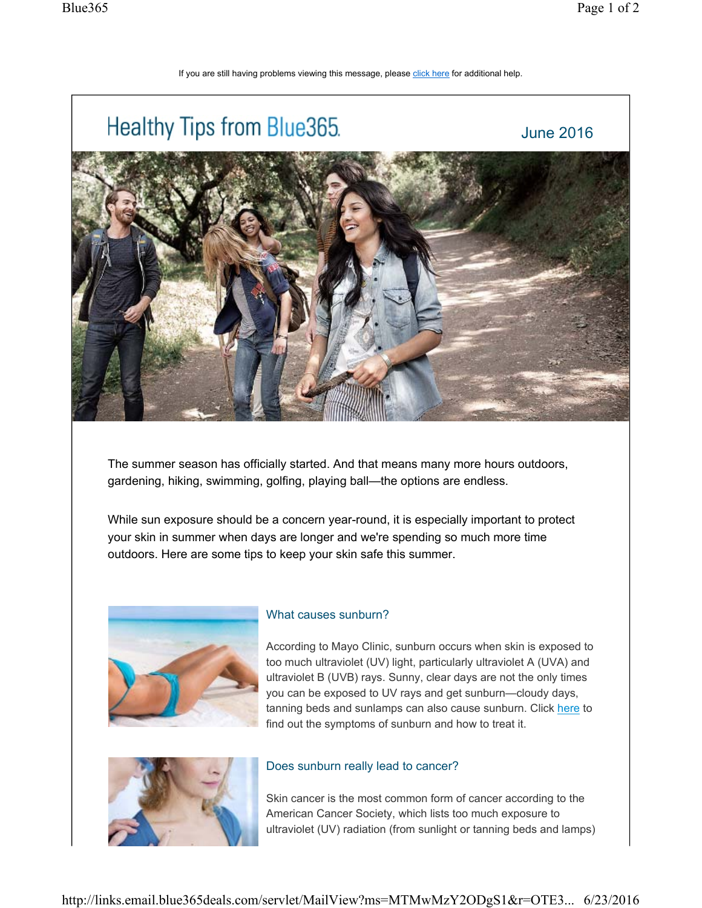## If you are still having problems viewing this message, please click here for additional help.



The summer season has officially started. And that means many more hours outdoors, gardening, hiking, swimming, golfing, playing ball—the options are endless.

While sun exposure should be a concern year-round, it is especially important to protect your skin in summer when days are longer and we're spending so much more time outdoors. Here are some tips to keep your skin safe this summer.



## What causes sunburn?

According to Mayo Clinic, sunburn occurs when skin is exposed to too much ultraviolet (UV) light, particularly ultraviolet A (UVA) and ultraviolet B (UVB) rays. Sunny, clear days are not the only times you can be exposed to UV rays and get sunburn—cloudy days, tanning beds and sunlamps can also cause sunburn. Click here to find out the symptoms of sunburn and how to treat it.



## Does sunburn really lead to cancer?

Skin cancer is the most common form of cancer according to the American Cancer Society, which lists too much exposure to ultraviolet (UV) radiation (from sunlight or tanning beds and lamps)